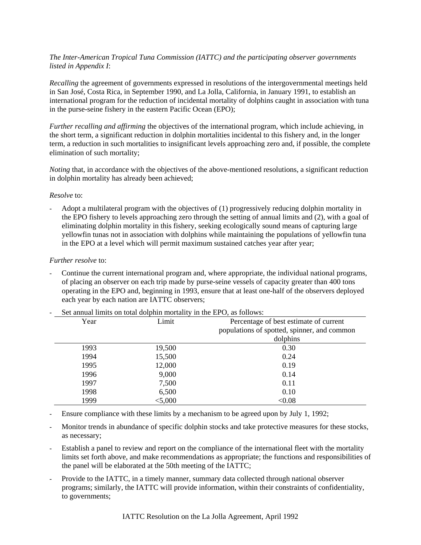# *The Inter-American Tropical Tuna Commission (IATTC) and the participating observer governments listed in Appendix I*:

*Recalling* the agreement of governments expressed in resolutions of the intergovernmental meetings held in San José, Costa Rica, in September 1990, and La Jolla, California, in January 1991, to establish an international program for the reduction of incidental mortality of dolphins caught in association with tuna in the purse-seine fishery in the eastern Pacific Ocean (EPO);

*Further recalling and affirming* the objectives of the international program, which include achieving, in the short term, a significant reduction in dolphin mortalities incidental to this fishery and, in the longer term, a reduction in such mortalities to insignificant levels approaching zero and, if possible, the complete elimination of such mortality;

*Noting* that, in accordance with the objectives of the above-mentioned resolutions, a significant reduction in dolphin mortality has already been achieved;

## *Resolve* to:

- Adopt a multilateral program with the objectives of (1) progressively reducing dolphin mortality in the EPO fishery to levels approaching zero through the setting of annual limits and (2), with a goal of eliminating dolphin mortality in this fishery, seeking ecologically sound means of capturing large yellowfin tunas not in association with dolphins while maintaining the populations of yellowfin tuna in the EPO at a level which will permit maximum sustained catches year after year;

## *Further resolve* to:

- Continue the current international program and, where appropriate, the individual national programs, of placing an observer on each trip made by purse-seine vessels of capacity greater than 400 tons operating in the EPO and, beginning in 1993, ensure that at least one-half of the observers deployed each year by each nation are IATTC observers;

| Year<br>Limit |         | Percentage of best estimate of current      |  |
|---------------|---------|---------------------------------------------|--|
|               |         | populations of spotted, spinner, and common |  |
|               |         | dolphins                                    |  |
| 1993          | 19,500  | 0.30                                        |  |
| 1994          | 15,500  | 0.24                                        |  |
| 1995          | 12,000  | 0.19                                        |  |
| 1996          | 9,000   | 0.14                                        |  |
| 1997          | 7,500   | 0.11                                        |  |
| 1998          | 6,500   | 0.10                                        |  |
| 1999          | < 5,000 | < 0.08                                      |  |

Set annual limits on total dolphin mortality in the EPO, as follows:

- Ensure compliance with these limits by a mechanism to be agreed upon by July 1, 1992;
- Monitor trends in abundance of specific dolphin stocks and take protective measures for these stocks, as necessary;
- Establish a panel to review and report on the compliance of the international fleet with the mortality limits set forth above, and make recommendations as appropriate; the functions and responsibilities of the panel will be elaborated at the 50th meeting of the IATTC;
- Provide to the IATTC, in a timely manner, summary data collected through national observer programs; similarly, the IATTC will provide information, within their constraints of confidentiality, to governments;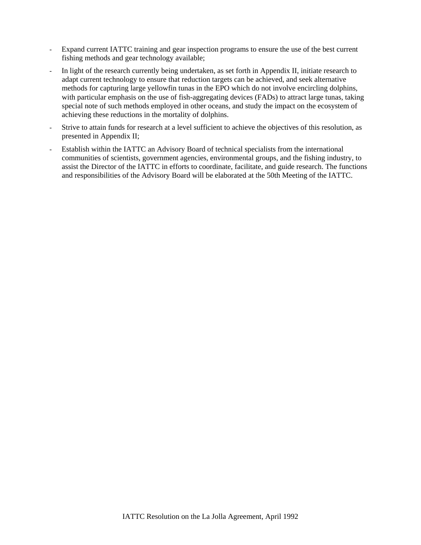- Expand current IATTC training and gear inspection programs to ensure the use of the best current fishing methods and gear technology available;
- In light of the research currently being undertaken, as set forth in Appendix II, initiate research to adapt current technology to ensure that reduction targets can be achieved, and seek alternative methods for capturing large yellowfin tunas in the EPO which do not involve encircling dolphins, with particular emphasis on the use of fish-aggregating devices (FADs) to attract large tunas, taking special note of such methods employed in other oceans, and study the impact on the ecosystem of achieving these reductions in the mortality of dolphins.
- Strive to attain funds for research at a level sufficient to achieve the objectives of this resolution, as presented in Appendix II;
- Establish within the IATTC an Advisory Board of technical specialists from the international communities of scientists, government agencies, environmental groups, and the fishing industry, to assist the Director of the IATTC in efforts to coordinate, facilitate, and guide research. The functions and responsibilities of the Advisory Board will be elaborated at the 50th Meeting of the IATTC.